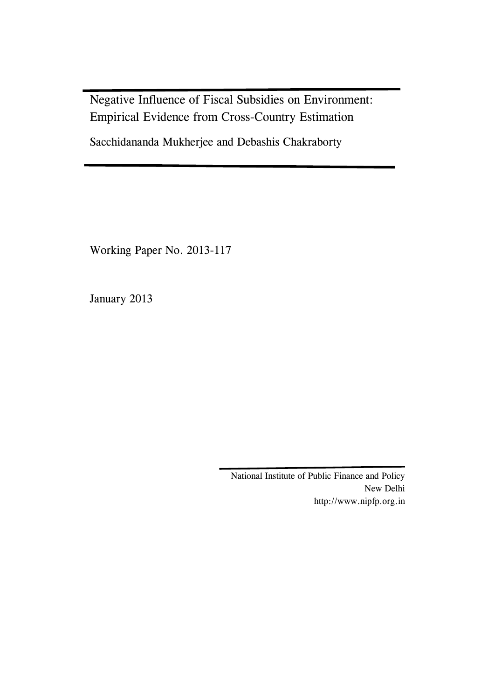Negative Influence of Fiscal Subsidies on Environment: Empirical Evidence from Cross-Country Estimation

Sacchidananda Mukherjee and Debashis Chakraborty

Working Paper No. 2013-117

January 2013

National Institute of Public Finance and Policy New Delhi http://www.nipfp.org.in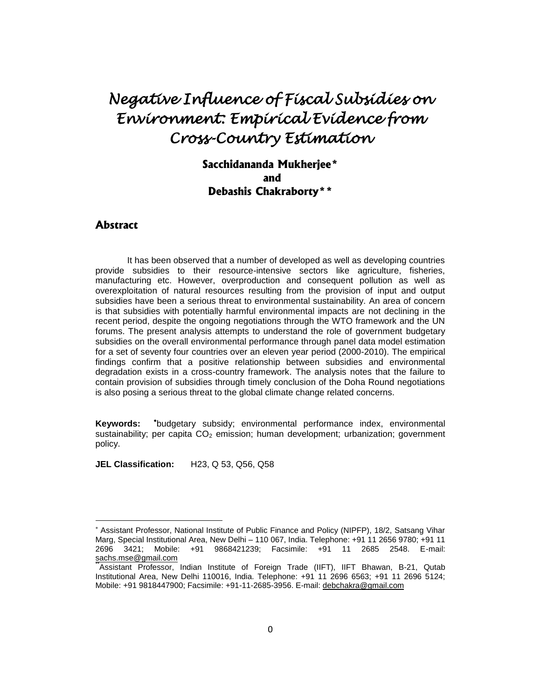# *Negative Influence of Fiscal Subsidies on Environment: Empirical Evidence from Cross-Country Estimation*

# **Sacchidananda Mukherjee\* and Debashis Chakraborty\*\***

### **Abstract**

 $\overline{a}$ 

It has been observed that a number of developed as well as developing countries provide subsidies to their resource-intensive sectors like agriculture, fisheries, manufacturing etc. However, overproduction and consequent pollution as well as overexploitation of natural resources resulting from the provision of input and output subsidies have been a serious threat to environmental sustainability. An area of concern is that subsidies with potentially harmful environmental impacts are not declining in the recent period, despite the ongoing negotiations through the WTO framework and the UN forums. The present analysis attempts to understand the role of government budgetary subsidies on the overall environmental performance through panel data model estimation for a set of seventy four countries over an eleven year period (2000-2010). The empirical findings confirm that a positive relationship between subsidies and environmental degradation exists in a cross-country framework. The analysis notes that the failure to contain provision of subsidies through timely conclusion of the Doha Round negotiations is also posing a serious threat to the global climate change related concerns.

**Keywords:**  budgetary subsidy; environmental performance index, environmental sustainability; per capita  $CO<sub>2</sub>$  emission; human development; urbanization; government policy.

**JEL Classification:** H23, Q 53, Q56, Q58

Assistant Professor, National Institute of Public Finance and Policy (NIPFP), 18/2, Satsang Vihar Marg, Special Institutional Area, New Delhi – 110 067, India. Telephone: +91 11 2656 9780; +91 11 2696 3421; Mobile: +91 9868421239; Facsimile: +91 11 2685 2548. E-mail: [sachs.mse@gmail.com](mailto:sachs.mse@gmail.com)

<sup>\*\*</sup>Assistant Professor, Indian Institute of Foreign Trade (IIFT), IIFT Bhawan, B-21, Qutab Institutional Area, New Delhi 110016, India. Telephone: +91 11 2696 6563; +91 11 2696 5124; Mobile: +91 9818447900; Facsimile: +91-11-2685-3956. E-mail: [debchakra@gmail.com](mailto:debchakra@gmail.com)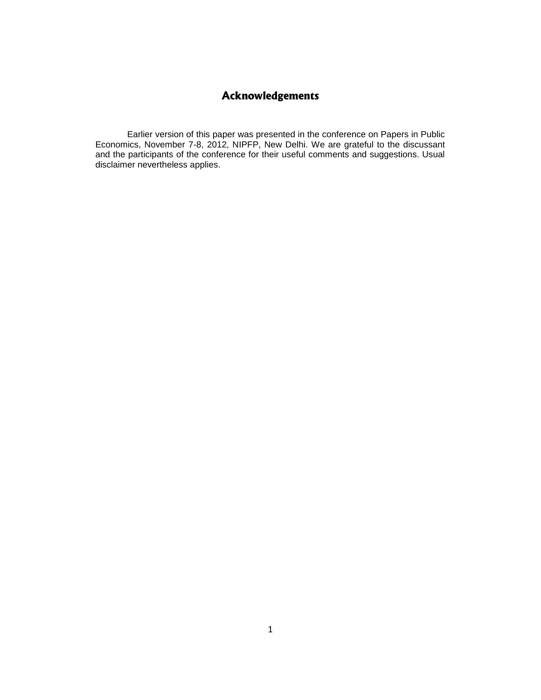# **Acknowledgements**

Earlier version of this paper was presented in the conference on Papers in Public Economics, November 7-8, 2012, NIPFP, New Delhi. We are grateful to the discussant and the participants of the conference for their useful comments and suggestions. Usual disclaimer nevertheless applies.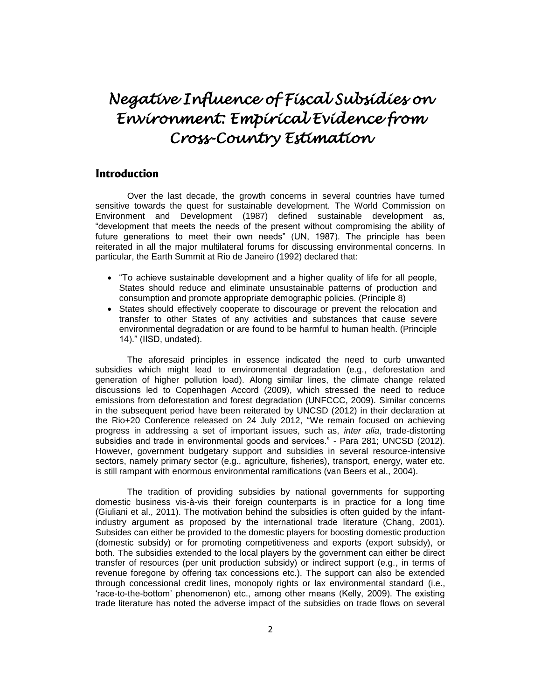# *Negative Influence of Fiscal Subsidies on Environment: Empirical Evidence from Cross-Country Estimation*

### **Introduction**

Over the last decade, the growth concerns in several countries have turned sensitive towards the quest for sustainable development. The World Commission on Environment and Development (1987) defined sustainable development as, "development that meets the needs of the present without compromising the ability of future generations to meet their own needs" (UN, 1987). The principle has been reiterated in all the major multilateral forums for discussing environmental concerns. In particular, the Earth Summit at Rio de Janeiro (1992) declared that:

- "To achieve sustainable development and a higher quality of life for all people, States should reduce and eliminate unsustainable patterns of production and consumption and promote appropriate demographic policies. (Principle 8)
- States should effectively cooperate to discourage or prevent the relocation and transfer to other States of any activities and substances that cause severe environmental degradation or are found to be harmful to human health. (Principle 14)." (IISD, undated).

The aforesaid principles in essence indicated the need to curb unwanted subsidies which might lead to environmental degradation (e.g., deforestation and generation of higher pollution load). Along similar lines, the climate change related discussions led to Copenhagen Accord (2009), which stressed the need to reduce emissions from deforestation and forest degradation (UNFCCC, 2009). Similar concerns in the subsequent period have been reiterated by UNCSD (2012) in their declaration at the Rio+20 Conference released on 24 July 2012, "We remain focused on achieving progress in addressing a set of important issues, such as, *inter alia*, trade-distorting subsidies and trade in environmental goods and services." - Para 281; UNCSD (2012). However, government budgetary support and subsidies in several resource-intensive sectors, namely primary sector (e.g., agriculture, fisheries), transport, energy, water etc. is still rampant with enormous environmental ramifications (van Beers et al., 2004).

The tradition of providing subsidies by national governments for supporting domestic business vis-à-vis their foreign counterparts is in practice for a long time (Giuliani et al., 2011). The motivation behind the subsidies is often guided by the infantindustry argument as proposed by the international trade literature (Chang, 2001). Subsides can either be provided to the domestic players for boosting domestic production (domestic subsidy) or for promoting competitiveness and exports (export subsidy), or both. The subsidies extended to the local players by the government can either be direct transfer of resources (per unit production subsidy) or indirect support (e.g., in terms of revenue foregone by offering tax concessions etc.). The support can also be extended through concessional credit lines, monopoly rights or lax environmental standard (i.e., 'race-to-the-bottom' phenomenon) etc., among other means (Kelly, 2009). The existing trade literature has noted the adverse impact of the subsidies on trade flows on several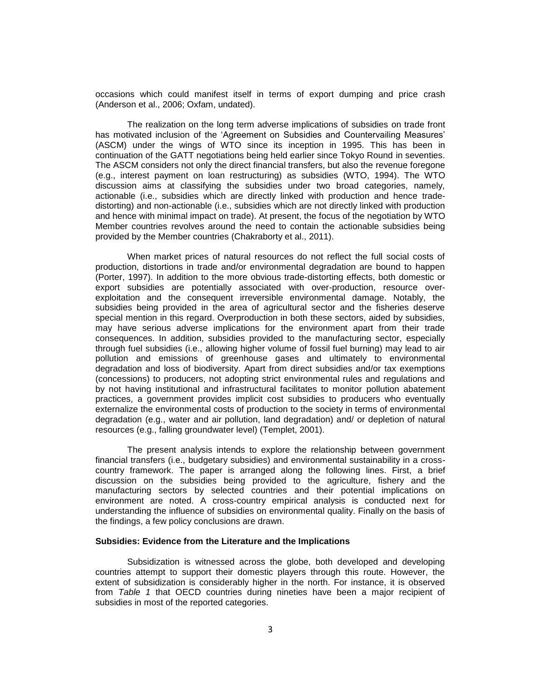occasions which could manifest itself in terms of export dumping and price crash (Anderson et al., 2006; Oxfam, undated).

The realization on the long term adverse implications of subsidies on trade front has motivated inclusion of the 'Agreement on Subsidies and Countervailing Measures' (ASCM) under the wings of WTO since its inception in 1995. This has been in continuation of the GATT negotiations being held earlier since Tokyo Round in seventies. The ASCM considers not only the direct financial transfers, but also the revenue foregone (e.g., interest payment on loan restructuring) as subsidies (WTO, 1994). The WTO discussion aims at classifying the subsidies under two broad categories, namely, actionable (i.e., subsidies which are directly linked with production and hence tradedistorting) and non-actionable (i.e., subsidies which are not directly linked with production and hence with minimal impact on trade). At present, the focus of the negotiation by WTO Member countries revolves around the need to contain the actionable subsidies being provided by the Member countries (Chakraborty et al., 2011).

When market prices of natural resources do not reflect the full social costs of production, distortions in trade and/or environmental degradation are bound to happen (Porter, 1997). In addition to the more obvious trade-distorting effects, both domestic or export subsidies are potentially associated with over-production, resource overexploitation and the consequent irreversible environmental damage. Notably, the subsidies being provided in the area of agricultural sector and the fisheries deserve special mention in this regard. Overproduction in both these sectors, aided by subsidies, may have serious adverse implications for the environment apart from their trade consequences. In addition, subsidies provided to the manufacturing sector, especially through fuel subsidies (i.e., allowing higher volume of fossil fuel burning) may lead to air pollution and emissions of greenhouse gases and ultimately to environmental degradation and loss of biodiversity. Apart from direct subsidies and/or tax exemptions (concessions) to producers, not adopting strict environmental rules and regulations and by not having institutional and infrastructural facilitates to monitor pollution abatement practices, a government provides implicit cost subsidies to producers who eventually externalize the environmental costs of production to the society in terms of environmental degradation (e.g., water and air pollution, land degradation) and/ or depletion of natural resources (e.g., falling groundwater level) (Templet, 2001).

The present analysis intends to explore the relationship between government financial transfers (i.e., budgetary subsidies) and environmental sustainability in a crosscountry framework. The paper is arranged along the following lines. First, a brief discussion on the subsidies being provided to the agriculture, fishery and the manufacturing sectors by selected countries and their potential implications on environment are noted. A cross-country empirical analysis is conducted next for understanding the influence of subsidies on environmental quality. Finally on the basis of the findings, a few policy conclusions are drawn.

#### **Subsidies: Evidence from the Literature and the Implications**

Subsidization is witnessed across the globe, both developed and developing countries attempt to support their domestic players through this route. However, the extent of subsidization is considerably higher in the north. For instance, it is observed from *Table 1* that OECD countries during nineties have been a major recipient of subsidies in most of the reported categories.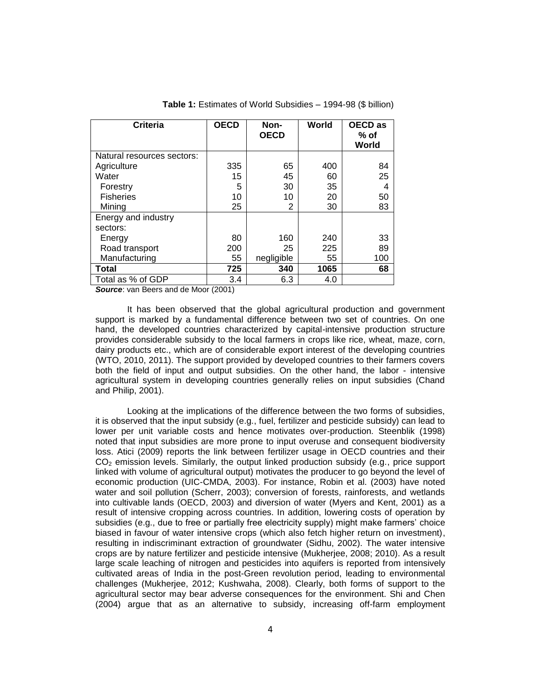| <b>Criteria</b>            | <b>OECD</b> | Non-<br><b>OECD</b> | World | <b>OECD</b> as<br>% of<br>World |
|----------------------------|-------------|---------------------|-------|---------------------------------|
| Natural resources sectors: |             |                     |       |                                 |
| Agriculture                | 335         | 65                  | 400   | 84                              |
| Water                      | 15          | 45                  | 60    | 25                              |
| Forestry                   | 5           | 30                  | 35    | 4                               |
| <b>Fisheries</b>           | 10          | 10                  | 20    | 50                              |
| Mining                     | 25          | 2                   | 30    | 83                              |
| Energy and industry        |             |                     |       |                                 |
| sectors:                   |             |                     |       |                                 |
| Energy                     | 80          | 160                 | 240   | 33                              |
| Road transport             | 200         | 25                  | 225   | 89                              |
| Manufacturing              | 55          | negligible          | 55    | 100                             |
| <b>Total</b>               | 725         | 340                 | 1065  | 68                              |
| Total as % of GDP          | 3.4         | 6.3                 | 4.0   |                                 |

**Table 1:** Estimates of World Subsidies – 1994-98 (\$ billion)

**Source:** van Beers and de Moor (2001)

It has been observed that the global agricultural production and government support is marked by a fundamental difference between two set of countries. On one hand, the developed countries characterized by capital-intensive production structure provides considerable subsidy to the local farmers in crops like rice, wheat, maze, corn, dairy products etc., which are of considerable export interest of the developing countries (WTO, 2010, 2011). The support provided by developed countries to their farmers covers both the field of input and output subsidies. On the other hand, the labor - intensive agricultural system in developing countries generally relies on input subsidies (Chand and Philip, 2001).

Looking at the implications of the difference between the two forms of subsidies, it is observed that the input subsidy (e.g., fuel, fertilizer and pesticide subsidy) can lead to lower per unit variable costs and hence motivates over-production. Steenblik (1998) noted that input subsidies are more prone to input overuse and consequent biodiversity loss. Atici (2009) reports the link between fertilizer usage in OECD countries and their  $CO<sub>2</sub>$  emission levels. Similarly, the output linked production subsidy (e.g., price support linked with volume of agricultural output) motivates the producer to go beyond the level of economic production (UIC-CMDA, 2003). For instance, Robin et al. (2003) have noted water and soil pollution (Scherr, 2003); conversion of forests, rainforests, and wetlands into cultivable lands (OECD, 2003) and diversion of water (Myers and Kent, 2001) as a result of intensive cropping across countries. In addition, lowering costs of operation by subsidies (e.g., due to free or partially free electricity supply) might make farmers' choice biased in favour of water intensive crops (which also fetch higher return on investment), resulting in indiscriminant extraction of groundwater (Sidhu, 2002). The water intensive crops are by nature fertilizer and pesticide intensive (Mukherjee, 2008; 2010). As a result large scale leaching of nitrogen and pesticides into aquifers is reported from intensively cultivated areas of India in the post-Green revolution period, leading to environmental challenges (Mukherjee, 2012; Kushwaha, 2008). Clearly, both forms of support to the agricultural sector may bear adverse consequences for the environment. Shi and Chen (2004) argue that as an alternative to subsidy, increasing off-farm employment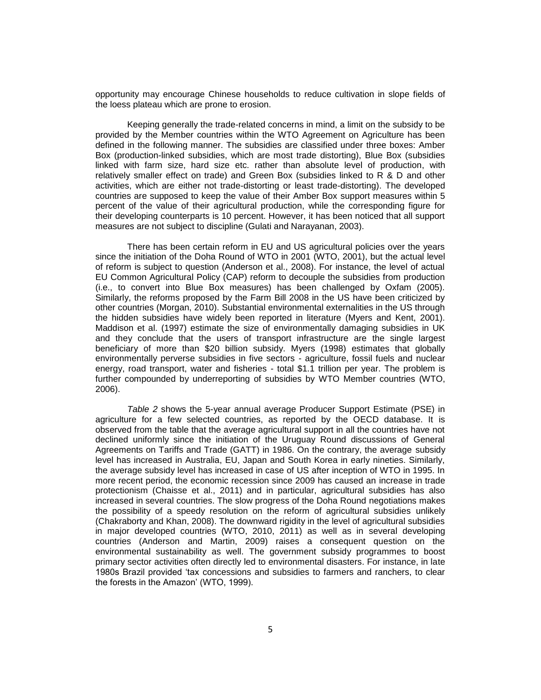opportunity may encourage Chinese households to reduce cultivation in slope fields of the loess plateau which are prone to erosion.

Keeping generally the trade-related concerns in mind, a limit on the subsidy to be provided by the Member countries within the WTO Agreement on Agriculture has been defined in the following manner. The subsidies are classified under three boxes: Amber Box (production-linked subsidies, which are most trade distorting), Blue Box (subsidies linked with farm size, hard size etc. rather than absolute level of production, with relatively smaller effect on trade) and Green Box (subsidies linked to R & D and other activities, which are either not trade-distorting or least trade-distorting). The developed countries are supposed to keep the value of their Amber Box support measures within 5 percent of the value of their agricultural production, while the corresponding figure for their developing counterparts is 10 percent. However, it has been noticed that all support measures are not subject to discipline (Gulati and Narayanan, 2003).

There has been certain reform in EU and US agricultural policies over the years since the initiation of the Doha Round of WTO in 2001 (WTO, 2001), but the actual level of reform is subject to question (Anderson et al., 2008). For instance, the level of actual EU Common Agricultural Policy (CAP) reform to decouple the subsidies from production (i.e., to convert into Blue Box measures) has been challenged by Oxfam (2005). Similarly, the reforms proposed by the Farm Bill 2008 in the US have been criticized by other countries (Morgan, 2010). Substantial environmental externalities in the US through the hidden subsidies have widely been reported in literature (Myers and Kent, 2001). Maddison et al. (1997) estimate the size of environmentally damaging subsidies in UK and they conclude that the users of transport infrastructure are the single largest beneficiary of more than \$20 billion subsidy. Myers (1998) estimates that globally environmentally perverse subsidies in five sectors - agriculture, fossil fuels and nuclear energy, road transport, water and fisheries - total \$1.1 trillion per year. The problem is further compounded by underreporting of subsidies by WTO Member countries (WTO, 2006).

*Table 2* shows the 5-year annual average Producer Support Estimate (PSE) in agriculture for a few selected countries, as reported by the OECD database. It is observed from the table that the average agricultural support in all the countries have not declined uniformly since the initiation of the Uruguay Round discussions of General Agreements on Tariffs and Trade (GATT) in 1986. On the contrary, the average subsidy level has increased in Australia, EU, Japan and South Korea in early nineties. Similarly, the average subsidy level has increased in case of US after inception of WTO in 1995. In more recent period, the economic recession since 2009 has caused an increase in trade protectionism (Chaisse et al., 2011) and in particular, agricultural subsidies has also increased in several countries. The slow progress of the Doha Round negotiations makes the possibility of a speedy resolution on the reform of agricultural subsidies unlikely (Chakraborty and Khan, 2008). The downward rigidity in the level of agricultural subsidies in major developed countries (WTO, 2010, 2011) as well as in several developing countries (Anderson and Martin, 2009) raises a consequent question on the environmental sustainability as well. The government subsidy programmes to boost primary sector activities often directly led to environmental disasters. For instance, in late 1980s Brazil provided 'tax concessions and subsidies to farmers and ranchers, to clear the forests in the Amazon' (WTO, 1999).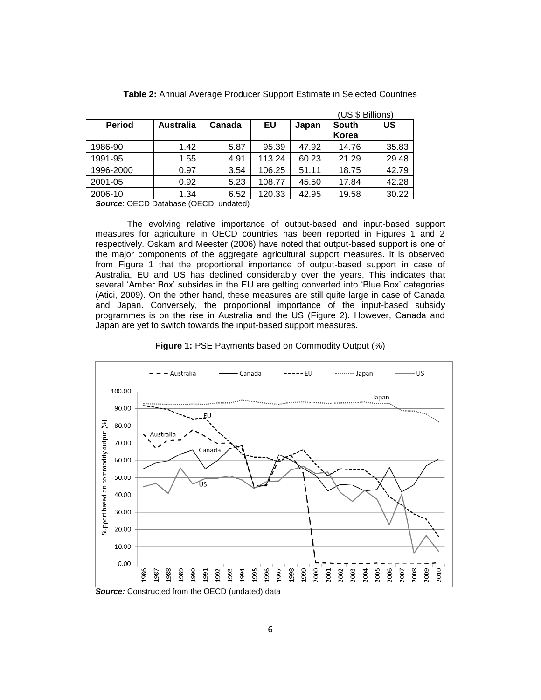|               |                  |        |        |       | (US & Billions) |       |
|---------------|------------------|--------|--------|-------|-----------------|-------|
| <b>Period</b> | <b>Australia</b> | Canada | EU     | Japan | <b>South</b>    | US    |
|               |                  |        |        |       | Korea           |       |
| 1986-90       | 1.42             | 5.87   | 95.39  | 47.92 | 14.76           | 35.83 |
| 1991-95       | 1.55             | 4.91   | 113.24 | 60.23 | 21.29           | 29.48 |
| 1996-2000     | 0.97             | 3.54   | 106.25 | 51.11 | 18.75           | 42.79 |
| 2001-05       | 0.92             | 5.23   | 108.77 | 45.50 | 17.84           | 42.28 |
| 2006-10       | 1.34             | 6.52   | 120.33 | 42.95 | 19.58           | 30.22 |

**Table 2:** Annual Average Producer Support Estimate in Selected Countries

 $(1.6 \times B)$ 

*Source*: OECD Database (OECD, undated)

The evolving relative importance of output-based and input-based support measures for agriculture in OECD countries has been reported in Figures 1 and 2 respectively. Oskam and Meester (2006) have noted that output-based support is one of the major components of the aggregate agricultural support measures. It is observed from Figure 1 that the proportional importance of output-based support in case of Australia, EU and US has declined considerably over the years. This indicates that several 'Amber Box' subsides in the EU are getting converted into 'Blue Box' categories (Atici, 2009). On the other hand, these measures are still quite large in case of Canada and Japan. Conversely, the proportional importance of the input-based subsidy programmes is on the rise in Australia and the US (Figure 2). However, Canada and Japan are yet to switch towards the input-based support measures.



**Figure 1:** PSE Payments based on Commodity Output (%)

**Source:** Constructed from the OECD (undated) data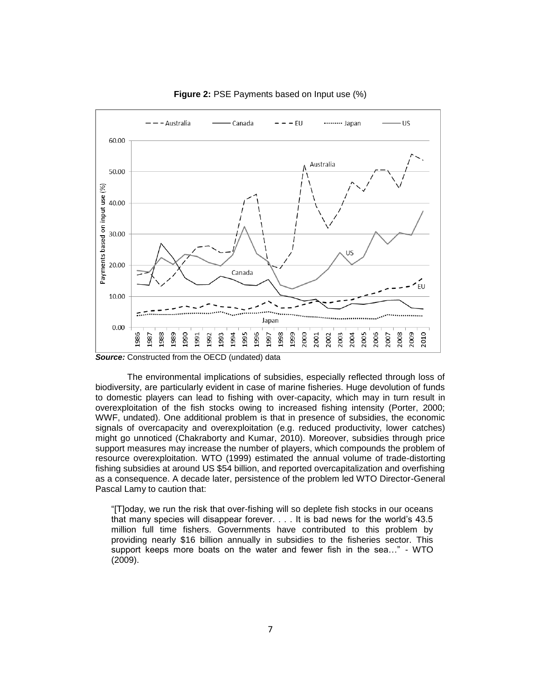

#### **Figure 2:** PSE Payments based on Input use (%)

*Source:* Constructed from the OECD (undated) data

The environmental implications of subsidies, especially reflected through loss of biodiversity, are particularly evident in case of marine fisheries. Huge devolution of funds to domestic players can lead to fishing with over-capacity, which may in turn result in overexploitation of the fish stocks owing to increased fishing intensity (Porter, 2000; WWF, undated). One additional problem is that in presence of subsidies, the economic signals of overcapacity and overexploitation (e.g. reduced productivity, lower catches) might go unnoticed (Chakraborty and Kumar, 2010). Moreover, subsidies through price support measures may increase the number of players, which compounds the problem of resource overexploitation. WTO (1999) estimated the annual volume of trade-distorting fishing subsidies at around US \$54 billion, and reported overcapitalization and overfishing as a consequence. A decade later, persistence of the problem led WTO Director-General Pascal Lamy to caution that:

"[T]oday, we run the risk that over-fishing will so deplete fish stocks in our oceans that many species will disappear forever. . . . It is bad news for the world's 43.5 million full time fishers. Governments have contributed to this problem by providing nearly \$16 billion annually in subsidies to the fisheries sector. This support keeps more boats on the water and fewer fish in the sea..." - WTO (2009).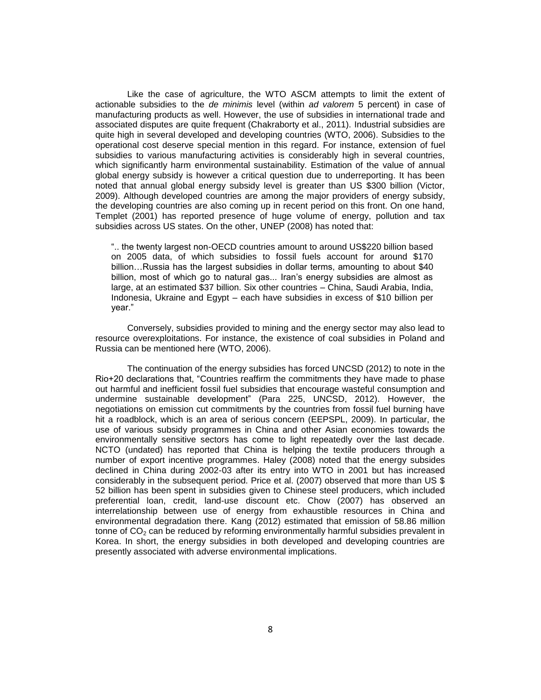Like the case of agriculture, the WTO ASCM attempts to limit the extent of actionable subsidies to the *de minimis* level (within *ad valorem* 5 percent) in case of manufacturing products as well. However, the use of subsidies in international trade and associated disputes are quite frequent (Chakraborty et al., 2011). Industrial subsidies are quite high in several developed and developing countries (WTO, 2006). Subsidies to the operational cost deserve special mention in this regard. For instance, extension of fuel subsidies to various manufacturing activities is considerably high in several countries, which significantly harm environmental sustainability. Estimation of the value of annual global energy subsidy is however a critical question due to underreporting. It has been noted that annual global energy subsidy level is greater than US \$300 billion (Victor, 2009). Although developed countries are among the major providers of energy subsidy, the developing countries are also coming up in recent period on this front. On one hand, Templet (2001) has reported presence of huge volume of energy, pollution and tax subsidies across US states. On the other, UNEP (2008) has noted that:

".. the twenty largest non-OECD countries amount to around US\$220 billion based on 2005 data, of which subsidies to fossil fuels account for around \$170 billion…Russia has the largest subsidies in dollar terms, amounting to about \$40 billion, most of which go to natural gas... Iran's energy subsidies are almost as large, at an estimated \$37 billion. Six other countries – China, Saudi Arabia, India, Indonesia, Ukraine and Egypt – each have subsidies in excess of \$10 billion per year."

Conversely, subsidies provided to mining and the energy sector may also lead to resource overexploitations. For instance, the existence of coal subsidies in Poland and Russia can be mentioned here (WTO, 2006).

The continuation of the energy subsidies has forced UNCSD (2012) to note in the Rio+20 declarations that, "Countries reaffirm the commitments they have made to phase out harmful and inefficient fossil fuel subsidies that encourage wasteful consumption and undermine sustainable development" (Para 225, UNCSD, 2012). However, the negotiations on emission cut commitments by the countries from fossil fuel burning have hit a roadblock, which is an area of serious concern (EEPSPL, 2009). In particular, the use of various subsidy programmes in China and other Asian economies towards the environmentally sensitive sectors has come to light repeatedly over the last decade. NCTO (undated) has reported that China is helping the textile producers through a number of export incentive programmes. Haley (2008) noted that the energy subsides declined in China during 2002-03 after its entry into WTO in 2001 but has increased considerably in the subsequent period. Price et al. (2007) observed that more than US \$ 52 billion has been spent in subsidies given to Chinese steel producers, which included preferential loan, credit, land-use discount etc. Chow (2007) has observed an interrelationship between use of energy from exhaustible resources in China and environmental degradation there. Kang (2012) estimated that emission of 58.86 million tonne of  $CO<sub>2</sub>$  can be reduced by reforming environmentally harmful subsidies prevalent in Korea. In short, the energy subsidies in both developed and developing countries are presently associated with adverse environmental implications.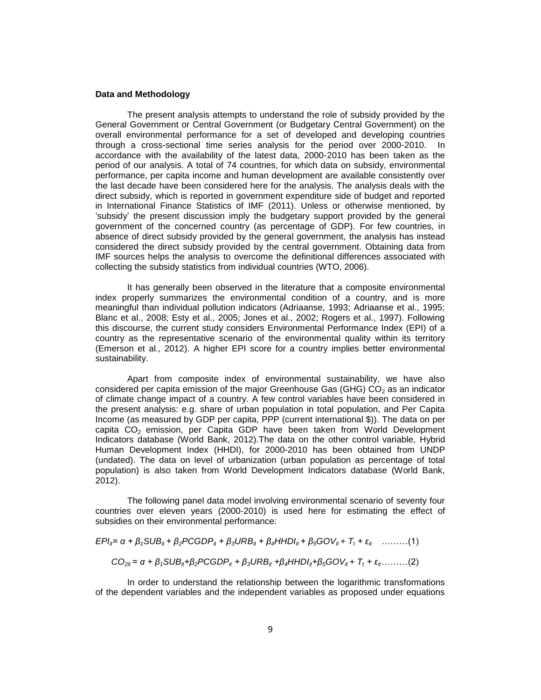#### **Data and Methodology**

The present analysis attempts to understand the role of subsidy provided by the General Government or Central Government (or Budgetary Central Government) on the overall environmental performance for a set of developed and developing countries through a cross-sectional time series analysis for the period over 2000-2010. In accordance with the availability of the latest data, 2000-2010 has been taken as the period of our analysis. A total of 74 countries, for which data on subsidy, environmental performance, per capita income and human development are available consistently over the last decade have been considered here for the analysis. The analysis deals with the direct subsidy, which is reported in government expenditure side of budget and reported in International Finance Statistics of IMF (2011). Unless or otherwise mentioned, by 'subsidy' the present discussion imply the budgetary support provided by the general government of the concerned country (as percentage of GDP). For few countries, in absence of direct subsidy provided by the general government, the analysis has instead considered the direct subsidy provided by the central government. Obtaining data from IMF sources helps the analysis to overcome the definitional differences associated with collecting the subsidy statistics from individual countries (WTO, 2006).

It has generally been observed in the literature that a composite environmental index properly summarizes the environmental condition of a country, and is more meaningful than individual pollution indicators (Adriaanse, 1993; Adriaanse et al., 1995; Blanc et al., 2008; Esty et al., 2005; Jones et al., 2002; Rogers et al., 1997). Following this discourse, the current study considers Environmental Performance Index (EPI) of a country as the representative scenario of the environmental quality within its territory (Emerson et al., 2012). A higher EPI score for a country implies better environmental sustainability.

Apart from composite index of environmental sustainability, we have also considered per capita emission of the major Greenhouse Gas (GHG)  $CO<sub>2</sub>$  as an indicator of climate change impact of a country. A few control variables have been considered in the present analysis: e.g. share of urban population in total population, and Per Capita Income (as measured by GDP per capita, PPP (current international \$)). The data on per capita  $CO<sub>2</sub>$  emission, per Capita GDP have been taken from World Development Indicators database (World Bank, 2012).The data on the other control variable, Hybrid Human Development Index (HHDI), for 2000-2010 has been obtained from UNDP (undated). The data on level of urbanization (urban population as percentage of total population) is also taken from World Development Indicators database (World Bank, 2012).

The following panel data model involving environmental scenario of seventy four countries over eleven years (2000-2010) is used here for estimating the effect of subsidies on their environmental performance:

$$
EPI_{it} = \alpha + \beta_1 SUB_{it} + \beta_2 PCGDP_{it} + \beta_3 URB_{it} + \beta_4 HHDI_{it} + \beta_5 GOV_{it} + T_t + \varepsilon_{it} \quad \ldots \ldots \ldots (1)
$$

$$
CO_{2it} = \alpha + \beta_1 SUB_{it} + \beta_2 PCGDP_{it} + \beta_3 URB_{it} + \beta_4 HHDI_{it} + \beta_5 GOV_{it} + T_t + \varepsilon_{it} \dots \dots \dots (2)
$$

In order to understand the relationship between the logarithmic transformations of the dependent variables and the independent variables as proposed under equations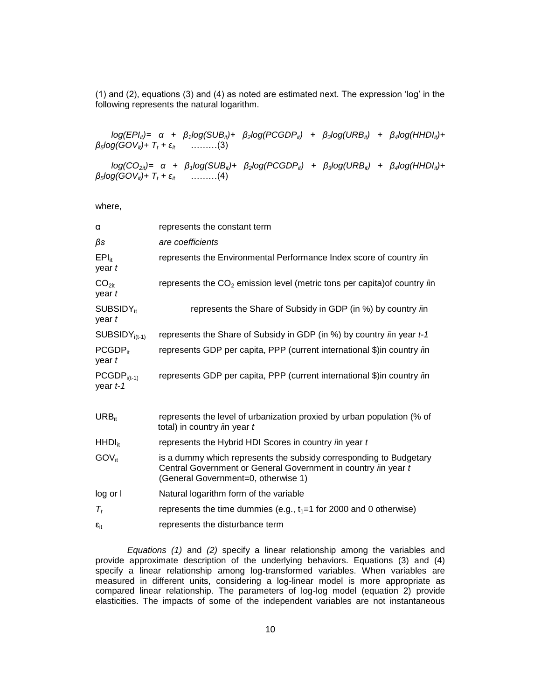(1) and (2), equations (3) and (4) as noted are estimated next. The expression 'log' in the following represents the natural logarithm.

*log(EPIit)= α + β1log(SUBit)+ β2log(PCGDPit) + β3log(URBit) + β4log(HHDIit)+*   $\beta_5$ *log*(GOV<sub>*it*</sub>)+ T<sub>t</sub> + ε<sub>*it</sub>* ………(3)</sub>

*log(CO2it)= α + β1log(SUBit)+ β2log(PCGDPit) + β3log(URBit) + β4log(HHDIit)+*   $\beta_5$ *log*(*GOV*<sub>*it*</sub>)+  $T_t$  +  $\varepsilon$ <sub>*it*</sub> ………(4)

where,

| α                               | represents the constant term                                                                                                                                                       |
|---------------------------------|------------------------------------------------------------------------------------------------------------------------------------------------------------------------------------|
| βs                              | are coefficients                                                                                                                                                                   |
| $EPI_{it}$<br>year t            | represents the Environmental Performance Index score of country in                                                                                                                 |
| CO <sub>2it</sub><br>year t     | represents the $CO2$ emission level (metric tons per capita) of country <i>i</i> n                                                                                                 |
| SUBSIDY <sub>it</sub><br>year t | represents the Share of Subsidy in GDP (in %) by country in                                                                                                                        |
| $SUBSIDY_{i(t-1)}$              | represents the Share of Subsidy in GDP (in %) by country in year t-1                                                                                                               |
| PCGDP <sub>it</sub><br>year t   | represents GDP per capita, PPP (current international \$)in country in                                                                                                             |
| $PCGDPi(t-1)$<br>year t-1       | represents GDP per capita, PPP (current international \$) in country in                                                                                                            |
| $URB_{it}$                      | represents the level of urbanization proxied by urban population (% of<br>total) in country <i>i</i> in year t                                                                     |
| $HHDI_{it}$                     | represents the Hybrid HDI Scores in country in year t                                                                                                                              |
| $GOV_{it}$                      | is a dummy which represents the subsidy corresponding to Budgetary<br>Central Government or General Government in country <i>i</i> n year t<br>(General Government=0, otherwise 1) |
| log or I                        | Natural logarithm form of the variable                                                                                                                                             |
| $T_t$                           | represents the time dummies (e.g., $t_1 = 1$ for 2000 and 0 otherwise)                                                                                                             |
| $\epsilon_{\text{it}}$          | represents the disturbance term                                                                                                                                                    |

*Equations (1)* and *(2)* specify a linear relationship among the variables and provide approximate description of the underlying behaviors. Equations (3) and (4) specify a linear relationship among log-transformed variables. When variables are measured in different units, considering a log-linear model is more appropriate as compared linear relationship. The parameters of log-log model (equation 2) provide elasticities. The impacts of some of the independent variables are not instantaneous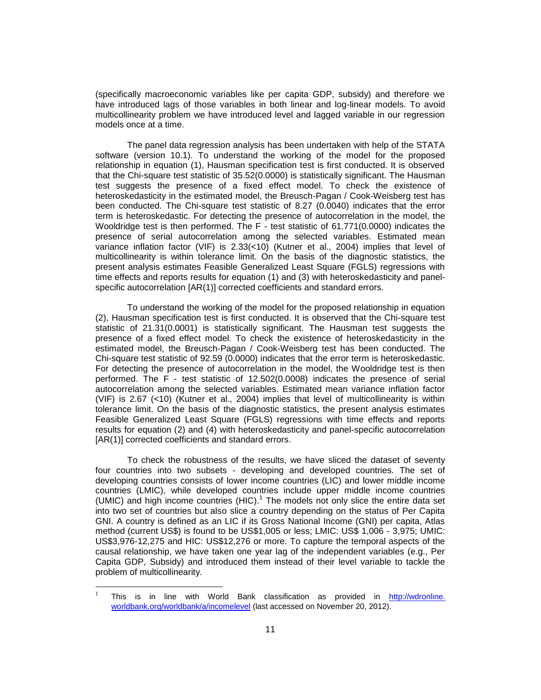(specifically macroeconomic variables like per capita GDP, subsidy) and therefore we have introduced lags of those variables in both linear and log-linear models. To avoid multicollinearity problem we have introduced level and lagged variable in our regression models once at a time.

The panel data regression analysis has been undertaken with help of the STATA software (version 10.1). To understand the working of the model for the proposed relationship in equation (1), Hausman specification test is first conducted. It is observed that the Chi-square test statistic of 35.52(0.0000) is statistically significant. The Hausman test suggests the presence of a fixed effect model. To check the existence of heteroskedasticity in the estimated model, the Breusch-Pagan / Cook-Weisberg test has been conducted. The Chi-square test statistic of 8.27 (0.0040) indicates that the error term is heteroskedastic. For detecting the presence of autocorrelation in the model, the Wooldridge test is then performed. The F - test statistic of 61.771(0.0000) indicates the presence of serial autocorrelation among the selected variables. Estimated mean variance inflation factor (VIF) is 2.33(<10) (Kutner et al., 2004) implies that level of multicollinearity is within tolerance limit. On the basis of the diagnostic statistics, the present analysis estimates Feasible Generalized Least Square (FGLS) regressions with time effects and reports results for equation (1) and (3) with heteroskedasticity and panelspecific autocorrelation [AR(1)] corrected coefficients and standard errors.

To understand the working of the model for the proposed relationship in equation (2), Hausman specification test is first conducted. It is observed that the Chi-square test statistic of 21.31(0.0001) is statistically significant. The Hausman test suggests the presence of a fixed effect model. To check the existence of heteroskedasticity in the estimated model, the Breusch-Pagan / Cook-Weisberg test has been conducted. The Chi-square test statistic of 92.59 (0.0000) indicates that the error term is heteroskedastic. For detecting the presence of autocorrelation in the model, the Wooldridge test is then performed. The F - test statistic of 12.502(0.0008) indicates the presence of serial autocorrelation among the selected variables. Estimated mean variance inflation factor (VIF) is 2.67 (<10) (Kutner et al., 2004) implies that level of multicollinearity is within tolerance limit. On the basis of the diagnostic statistics, the present analysis estimates Feasible Generalized Least Square (FGLS) regressions with time effects and reports results for equation (2) and (4) with heteroskedasticity and panel-specific autocorrelation [AR(1)] corrected coefficients and standard errors.

To check the robustness of the results, we have sliced the dataset of seventy four countries into two subsets - developing and developed countries. The set of developing countries consists of lower income countries (LIC) and lower middle income countries (LMIC), while developed countries include upper middle income countries (UMIC) and high income countries  $(HIC)^1$  The models not only slice the entire data set into two set of countries but also slice a country depending on the status of Per Capita GNI. A country is defined as an LIC if its Gross National Income (GNI) per capita, Atlas method (current US\$) is found to be US\$1,005 or less; LMIC: US\$ 1,006 - 3,975; UMIC: US\$3,976-12,275 and HIC: US\$12,276 or more. To capture the temporal aspects of the causal relationship, we have taken one year lag of the independent variables (e.g., Per Capita GDP, Subsidy) and introduced them instead of their level variable to tackle the problem of multicollinearity.

l

<sup>1</sup> This is in line with World Bank classification as provided in http://wdronline. worldbank.org/worldbank/a/incomelevel (last accessed on November 20, 2012).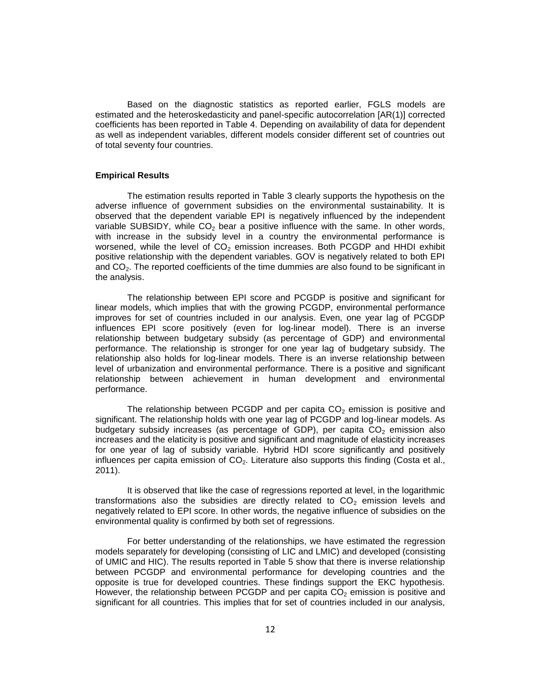Based on the diagnostic statistics as reported earlier, FGLS models are estimated and the heteroskedasticity and panel-specific autocorrelation [AR(1)] corrected coefficients has been reported in Table 4. Depending on availability of data for dependent as well as independent variables, different models consider different set of countries out of total seventy four countries.

#### **Empirical Results**

The estimation results reported in Table 3 clearly supports the hypothesis on the adverse influence of government subsidies on the environmental sustainability. It is observed that the dependent variable EPI is negatively influenced by the independent variable SUBSIDY, while  $CO<sub>2</sub>$  bear a positive influence with the same. In other words, with increase in the subsidy level in a country the environmental performance is worsened, while the level of  $CO<sub>2</sub>$  emission increases. Both PCGDP and HHDI exhibit positive relationship with the dependent variables. GOV is negatively related to both EPI and  $CO<sub>2</sub>$ . The reported coefficients of the time dummies are also found to be significant in the analysis.

The relationship between EPI score and PCGDP is positive and significant for linear models, which implies that with the growing PCGDP, environmental performance improves for set of countries included in our analysis. Even, one year lag of PCGDP influences EPI score positively (even for log-linear model). There is an inverse relationship between budgetary subsidy (as percentage of GDP) and environmental performance. The relationship is stronger for one year lag of budgetary subsidy. The relationship also holds for log-linear models. There is an inverse relationship between level of urbanization and environmental performance. There is a positive and significant relationship between achievement in human development and environmental performance.

The relationship between PCGDP and per capita  $CO<sub>2</sub>$  emission is positive and significant. The relationship holds with one year lag of PCGDP and log-linear models. As budgetary subsidy increases (as percentage of GDP), per capita  $CO<sub>2</sub>$  emission also increases and the elaticity is positive and significant and magnitude of elasticity increases for one year of lag of subsidy variable. Hybrid HDI score significantly and positively influences per capita emission of  $CO<sub>2</sub>$ . Literature also supports this finding (Costa et al., 2011).

It is observed that like the case of regressions reported at level, in the logarithmic transformations also the subsidies are directly related to  $CO<sub>2</sub>$  emission levels and negatively related to EPI score. In other words, the negative influence of subsidies on the environmental quality is confirmed by both set of regressions.

For better understanding of the relationships, we have estimated the regression models separately for developing (consisting of LIC and LMIC) and developed (consisting of UMIC and HIC). The results reported in Table 5 show that there is inverse relationship between PCGDP and environmental performance for developing countries and the opposite is true for developed countries. These findings support the EKC hypothesis. However, the relationship between PCGDP and per capita  $CO<sub>2</sub>$  emission is positive and significant for all countries. This implies that for set of countries included in our analysis,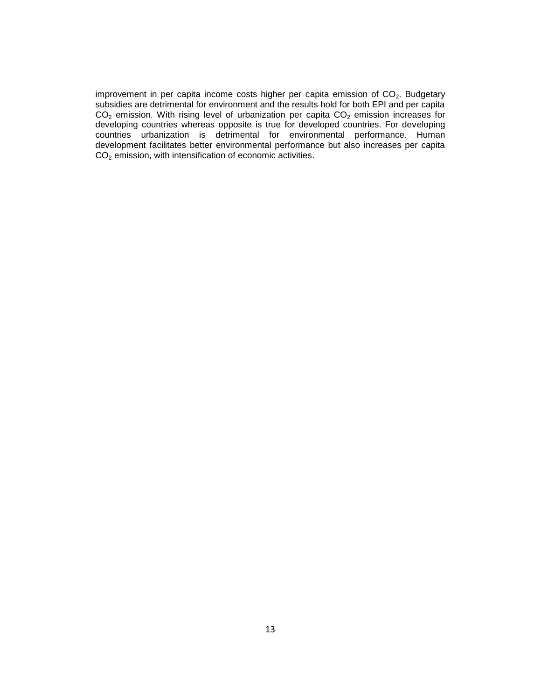improvement in per capita income costs higher per capita emission of  $CO<sub>2</sub>$ . Budgetary subsidies are detrimental for environment and the results hold for both EPI and per capita  $CO<sub>2</sub>$  emission. With rising level of urbanization per capita  $CO<sub>2</sub>$  emission increases for developing countries whereas opposite is true for developed countries. For developing countries urbanization is detrimental for environmental performance. Human development facilitates better environmental performance but also increases per capita  $CO<sub>2</sub>$  emission, with intensification of economic activities.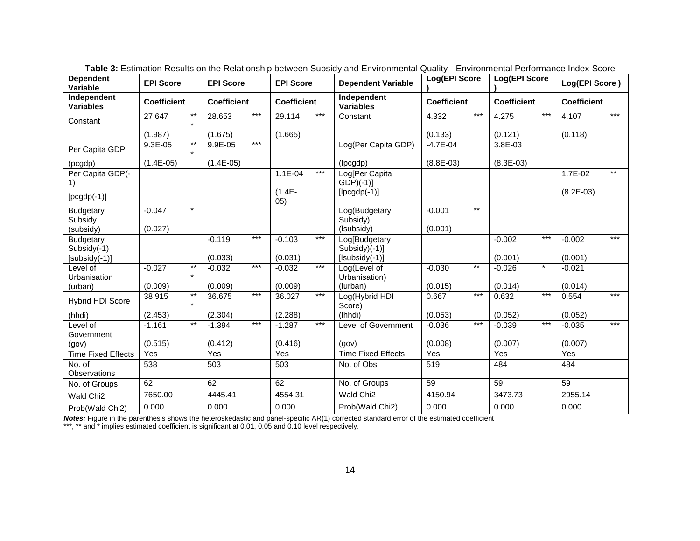| <b>Dependent</b><br>Variable    | <b>EPI Score</b>   |                  | <b>EPI Score</b>   |       | <b>EPI Score</b>   |       | <b>Dependent Variable</b>          | Log(EPI Score      |       | Log(EPI Score      |         | Log(EPI Score)     |       |
|---------------------------------|--------------------|------------------|--------------------|-------|--------------------|-------|------------------------------------|--------------------|-------|--------------------|---------|--------------------|-------|
| Independent<br><b>Variables</b> | <b>Coefficient</b> |                  | <b>Coefficient</b> |       | <b>Coefficient</b> |       | Independent<br><b>Variables</b>    | <b>Coefficient</b> |       | <b>Coefficient</b> |         | <b>Coefficient</b> |       |
| Constant                        | 27.647             | $***$<br>$\star$ | 28.653             | $***$ | 29.114             | $***$ | Constant                           | 4.332              | $***$ | 4.275              | $***$   | 4.107              | $***$ |
|                                 | (1.987)            |                  | (1.675)            |       | (1.665)            |       |                                    | (0.133)            |       | (0.121)            |         | (0.118)            |       |
| Per Capita GDP                  | $9.3E - 05$        | $***$            | $9.9E - 05$        | $***$ |                    |       | Log(Per Capita GDP)                | $-4.7E - 04$       |       | $3.8E - 03$        |         |                    |       |
| (pcgdp)                         | $(1.4E-05)$        |                  | $(1.4E-05)$        |       |                    |       | (lpcgdp)                           | $(8.8E-03)$        |       | $(8.3E-03)$        |         |                    |       |
| Per Capita GDP(-<br>1)          |                    |                  |                    |       | $1.1E - 04$        | $***$ | Log[Per Capita<br>$GDP$ $(-1)$ ]   |                    |       |                    |         | 1.7E-02            | $***$ |
| $[pcgdp(-1)]$                   |                    |                  |                    |       | $(1.4E -$<br>05)   |       | $[lpcgdp(-1)]$                     |                    |       |                    |         | $(8.2E-03)$        |       |
| <b>Budgetary</b><br>Subsidy     | $-0.047$           | $\star$          |                    |       |                    |       | Log(Budgetary<br>Subsidy)          | $-0.001$           | $***$ |                    |         |                    |       |
| (subsidy)                       | (0.027)            |                  |                    |       |                    |       | (Isubsidy)                         | (0.001)            |       |                    |         |                    |       |
| <b>Budgetary</b><br>Subsidy(-1) |                    |                  | $-0.119$           | $***$ | $-0.103$           | $***$ | Log[Budgetary<br>Subsidy $)(-1)$ ] |                    |       | $-0.002$           | $***$   | $-0.002$           | $***$ |
| [subsidy(-1)]                   |                    |                  | (0.033)            |       | (0.031)            |       | $[Isubsidy(-1)]$                   |                    |       | (0.001)            |         | (0.001)            |       |
| Level of<br>Urbanisation        | $-0.027$           | $***$<br>$\star$ | $-0.032$           | $***$ | $-0.032$           | $***$ | Log(Level of<br>Urbanisation)      | $-0.030$           | $***$ | $-0.026$           | $\star$ | $-0.021$           |       |
| (urban)                         | (0.009)            |                  | (0.009)            |       | (0.009)            |       | (lurban)                           | (0.015)            |       | (0.014)            |         | (0.014)            |       |
| <b>Hybrid HDI Score</b>         | 38.915             | $^{\star\star}$  | 36.675             | $***$ | 36.027             | $***$ | Log(Hybrid HDI<br>Score)           | 0.667              | $***$ | 0.632              | $***$   | 0.554              | $***$ |
| (hhdi)                          | (2.453)            |                  | (2.304)            |       | (2.288)            |       | (lhhdi)                            | (0.053)            |       | (0.052)            |         | (0.052)            |       |
| Level of<br>Government          | $-1.161$           | $^{\star\star}$  | $-1.394$           | $***$ | $-1.287$           | $***$ | Level of Government                | $-0.036$           | $***$ | $-0.039$           | $***$   | $-0.035$           | $***$ |
| (gov)                           | (0.515)            |                  | (0.412)            |       | (0.416)            |       | (gov)                              | (0.008)            |       | (0.007)            |         | (0.007)            |       |
| <b>Time Fixed Effects</b>       | Yes                |                  | Yes                |       | Yes                |       | <b>Time Fixed Effects</b>          | Yes                |       | Yes                |         | Yes                |       |
| No. of<br>Observations          | 538                |                  | 503                |       | 503                |       | No. of Obs.                        | 519                |       | 484                |         | 484                |       |
| No. of Groups                   | 62                 |                  | 62                 |       | 62                 |       | No. of Groups                      | 59                 |       | 59                 |         | $\overline{59}$    |       |
| Wald Chi <sub>2</sub>           | 7650.00            |                  | 4445.41            |       | 4554.31            |       | Wald Chi <sub>2</sub>              | 4150.94            |       | 3473.73            |         | 2955.14            |       |
| Prob(Wald Chi2)                 | 0.000              |                  | 0.000              |       | 0.000              |       | Prob(Wald Chi2)                    | 0.000              |       | 0.000              |         | 0.000              |       |

**Table 3:** Estimation Results on the Relationship between Subsidy and Environmental Quality - Environmental Performance Index Score

*Notes:* Figure in the parenthesis shows the heteroskedastic and panel-specific AR(1) corrected standard error of the estimated coefficient

\*\*\*, \*\* and \* implies estimated coefficient is significant at 0.01, 0.05 and 0.10 level respectively.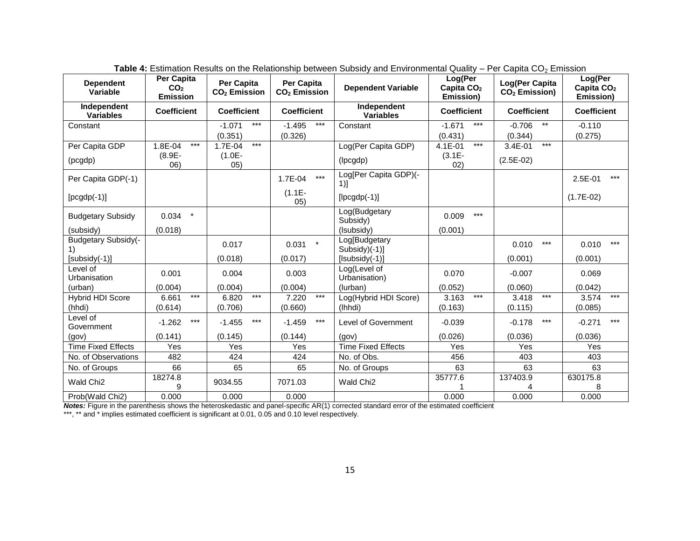| <b>Dependent</b><br>Variable     | Per Capita<br>CO <sub>2</sub><br><b>Emission</b> | <b>Per Capita</b><br>CO <sub>2</sub> Emission | <b>Per Capita</b><br>$CO2$ Emission | <b>Dependent Variable</b>        | Log(Per<br>Capita $CO2$<br>Emission) | Log(Per Capita<br>$CO2$ Emission)   | Log(Per<br>Capita $CO2$<br>Emission) |  |
|----------------------------------|--------------------------------------------------|-----------------------------------------------|-------------------------------------|----------------------------------|--------------------------------------|-------------------------------------|--------------------------------------|--|
| Independent<br><b>Variables</b>  | <b>Coefficient</b>                               | <b>Coefficient</b>                            | <b>Coefficient</b>                  | Independent<br><b>Variables</b>  | <b>Coefficient</b>                   | <b>Coefficient</b>                  | <b>Coefficient</b>                   |  |
| Constant                         |                                                  | $***$<br>$-1.071$<br>(0.351)                  | $***$<br>$-1.495$<br>(0.326)        | Constant                         | $***$<br>$-1.671$<br>(0.431)         | $\star\star$<br>$-0.706$<br>(0.344) | $-0.110$<br>(0.275)                  |  |
| Per Capita GDP                   | 1.8E-04<br>$***$                                 | $***$<br>1.7E-04                              |                                     | Log(Per Capita GDP)              | $***$<br>4.1E-01                     | $***$<br>3.4E-01                    |                                      |  |
| (pcgdp)                          | $(8.9E -$<br>06)                                 | $(1.0E -$<br>05)                              |                                     | (lpcgdp)                         | $(3.1E -$<br>02)                     | $(2.5E-02)$                         |                                      |  |
| Per Capita GDP(-1)               |                                                  |                                               | $\star\star\star$<br>1.7E-04        | Log[Per Capita GDP)(-<br>1)]     |                                      |                                     | $***$<br>2.5E-01                     |  |
| $[pcgdp(-1)]$                    |                                                  |                                               | $(1.1E -$<br>05)                    | $[lpcgdp(-1)]$                   |                                      |                                     | $(1.7E-02)$                          |  |
| <b>Budgetary Subsidy</b>         | $\star$<br>0.034                                 |                                               |                                     | Log(Budgetary<br>Subsidy)        | $***$<br>0.009                       |                                     |                                      |  |
| (subsidy)                        | (0.018)                                          |                                               |                                     | (Isubsidy)                       | (0.001)                              |                                     |                                      |  |
| <b>Budgetary Subsidy(-</b><br>1) |                                                  | 0.017                                         | $\star$<br>0.031                    | Log[Budgetary<br>$Subsidy)(-1)]$ |                                      | $***$<br>0.010                      | $***$<br>0.010                       |  |
| $[subsidy(-1)]$                  |                                                  | (0.018)                                       | (0.017)                             | $[Isubsidy(-1)]$                 |                                      | (0.001)                             | (0.001)                              |  |
| Level of<br>Urbanisation         | 0.001                                            | 0.004                                         | 0.003                               | Log(Level of<br>Urbanisation)    | 0.070                                | $-0.007$                            | 0.069                                |  |
| (urban)                          | (0.004)                                          | (0.004)                                       | (0.004)                             | (lurban)                         | (0.052)                              | (0.060)                             | (0.042)                              |  |
| <b>Hybrid HDI Score</b>          | $\star\star\star$<br>6.661                       | $\star\star\star$<br>6.820                    | $\star\star\star$<br>7.220          | Log(Hybrid HDI Score)            | $***$<br>3.163                       | $***$<br>3.418                      | $***$<br>3.574                       |  |
| (hhdi)                           | (0.614)                                          | (0.706)                                       | (0.660)                             | (lhhdi)                          | (0.163)                              | (0.115)                             | (0.085)                              |  |
| Level of<br>Government           | $***$<br>$-1.262$                                | $***$<br>$-1.455$                             | $***$<br>$-1.459$                   | Level of Government              | $-0.039$                             | $***$<br>$-0.178$                   | $***$<br>$-0.271$                    |  |
| (gov)                            | (0.141)                                          | (0.145)                                       | (0.144)                             | (gov)                            | (0.026)                              | (0.036)                             | (0.036)                              |  |
| <b>Time Fixed Effects</b>        | Yes                                              | Yes                                           | Yes                                 | <b>Time Fixed Effects</b>        | Yes                                  | Yes                                 | Yes                                  |  |
| No. of Observations              | 482                                              | 424                                           | 424                                 | No. of Obs.                      | 456                                  | 403                                 | 403                                  |  |
| No. of Groups                    | 66                                               | 65                                            | 65                                  | No. of Groups                    | 63                                   | 63                                  | 63                                   |  |
| Wald Chi <sub>2</sub>            | 18274.8<br>9                                     | 9034.55                                       | 7071.03                             | Wald Chi <sub>2</sub>            | 35777.6                              | 137403.9                            | 630175.8<br>8                        |  |
| Prob(Wald Chi2)                  | 0.000                                            | 0.000                                         | 0.000                               |                                  | 0.000                                | 0.000                               | 0.000                                |  |

**Table 4:** Estimation Results on the Relationship between Subsidy and Environmental Quality – Per Capita CO<sub>2</sub> Emission

*Notes:* Figure in the parenthesis shows the heteroskedastic and panel-specific AR(1) corrected standard error of the estimated coefficient

\*\*\*, \*\* and \* implies estimated coefficient is significant at 0.01, 0.05 and 0.10 level respectively.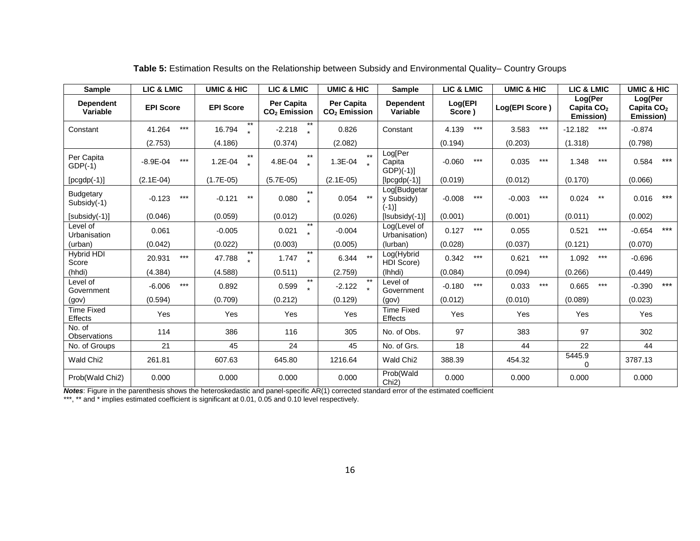| <b>Sample</b>                   | <b>LIC &amp; LMIC</b> | <b>UMIC &amp; HIC</b>       | <b>LIC &amp; LMIC</b>                  | <b>UMIC &amp; HIC</b>                         | Sample                                 | <b>LIC &amp; LMIC</b> | <b>UMIC &amp; HIC</b> | <b>LIC &amp; LMIC</b>                          | <b>UMIC &amp; HIC</b>                          |  |
|---------------------------------|-----------------------|-----------------------------|----------------------------------------|-----------------------------------------------|----------------------------------------|-----------------------|-----------------------|------------------------------------------------|------------------------------------------------|--|
| <b>Dependent</b><br>Variable    | <b>EPI Score</b>      | <b>EPI Score</b>            | Per Capita<br>CO <sub>2</sub> Emission | <b>Per Capita</b><br>CO <sub>2</sub> Emission | <b>Dependent</b><br>Variable           | Log(EPI<br>Score)     | Log(EPI Score)        | Log(Per<br>Capita CO <sub>2</sub><br>Emission) | Log(Per<br>Capita CO <sub>2</sub><br>Emission) |  |
| Constant                        | $***$<br>41.264       | $***$<br>16.794             | $-2.218$                               | 0.826                                         | Constant                               | $***$<br>4.139        | $***$<br>3.583        | $***$<br>$-12.182$                             | $-0.874$                                       |  |
|                                 | (2.753)               | (4.186)                     | (0.374)                                | (2.082)                                       |                                        | (0.194)               | (0.203)               | (1.318)                                        | (0.798)                                        |  |
| Per Capita<br>$GDP(-1)$         | $***$<br>$-8.9E - 04$ | $***$<br>1.2E-04            | $***$<br>4.8E-04                       | $**$<br>1.3E-04                               | Log[Per<br>Capita<br>$GDP$ $(-1)$ ]    | $***$<br>$-0.060$     | $***$<br>0.035        | $***$<br>1.348                                 | $***$<br>0.584                                 |  |
| $[pcgdp(-1)]$                   | $(2.1E-04)$           | $(1.7E-05)$                 | $(5.7E-05)$                            | $(2.1E-05)$                                   | $[lpcgdp(-1)]$                         | (0.019)               | (0.012)               | (0.170)                                        | (0.066)                                        |  |
| <b>Budgetary</b><br>Subsidy(-1) | $***$<br>$-0.123$     | $^{\star\star}$<br>$-0.121$ | $***$<br>0.080                         | $***$<br>0.054                                | Log[Budgetar<br>y Subsidy)<br>$(-1)$ ] | $***$<br>$-0.008$     | $***$<br>$-0.003$     | $***$<br>0.024                                 | $***$<br>0.016                                 |  |
| $[subsidy(-1)]$                 | (0.046)               | (0.059)                     | (0.012)                                | (0.026)                                       | $[Isubsidy(-1)]$                       | (0.001)               | (0.001)               | (0.011)                                        | (0.002)                                        |  |
| Level of<br>Urbanisation        | 0.061                 | $-0.005$                    | $***$<br>0.021                         | $-0.004$                                      | Log(Level of<br>Urbanisation)          | 0.127<br>$***$        | 0.055                 | $***$<br>0.521                                 | $***$<br>$-0.654$                              |  |
| (urban)                         | (0.042)               | (0.022)                     | (0.003)                                | (0.005)                                       | (lurban)                               | (0.028)               | (0.037)               | (0.121)                                        | (0.070)                                        |  |
| Hybrid HDI<br>Score             | $***$<br>20.931       | $***$<br>47.788             | $***$<br>1.747<br>$\star$              | $***$<br>6.344                                | Log(Hybrid<br>HDI Score)               | $***$<br>0.342        | $***$<br>0.621        | $***$<br>1.092                                 | $-0.696$                                       |  |
| (hhdi)                          | (4.384)               | (4.588)                     | (0.511)                                | (2.759)                                       | (Ihhdi)                                | (0.084)               | (0.094)               | (0.266)                                        | (0.449)                                        |  |
| Level of<br>Government          | $***$<br>$-6.006$     | 0.892                       | $**$<br>0.599                          | $***$<br>$-2.122$                             | Level of<br>Government                 | $***$<br>$-0.180$     | $***$<br>0.033        | $***$<br>0.665                                 | $***$<br>$-0.390$                              |  |
| (gov)                           | (0.594)               | (0.709)                     | (0.212)                                | (0.129)                                       | (gov)                                  | (0.012)               | (0.010)               | (0.089)                                        | (0.023)                                        |  |
| <b>Time Fixed</b><br>Effects    | Yes                   | Yes                         | Yes                                    | Yes                                           | <b>Time Fixed</b><br><b>Effects</b>    | Yes                   | Yes                   | Yes                                            | Yes                                            |  |
| No. of<br><b>Observations</b>   | 114                   | 386                         | 116                                    | 305                                           | No. of Obs.                            | 97                    | 383                   | 97                                             | 302                                            |  |
| No. of Groups                   | 21                    | 45                          | 24                                     | 45                                            | No. of Grs.                            | 18                    | 44                    | 22                                             | 44                                             |  |
| Wald Chi <sub>2</sub>           | 261.81                | 607.63                      | 645.80                                 | 1216.64                                       | Wald Chi <sub>2</sub>                  | 388.39                | 454.32                | 5445.9<br>$\Omega$                             | 3787.13                                        |  |
| Prob(Wald Chi2)                 | 0.000                 | 0.000                       | 0.000                                  | 0.000                                         | Prob(Wald<br>Chi <sub>2</sub> )        | 0.000                 | 0.000                 | 0.000                                          | 0.000                                          |  |

**Table 5:** Estimation Results on the Relationship between Subsidy and Environmental Quality– Country Groups

*Notes*: Figure in the parenthesis shows the heteroskedastic and panel-specific AR(1) corrected standard error of the estimated coefficient

\*\*\*, \*\* and \* implies estimated coefficient is significant at 0.01, 0.05 and 0.10 level respectively.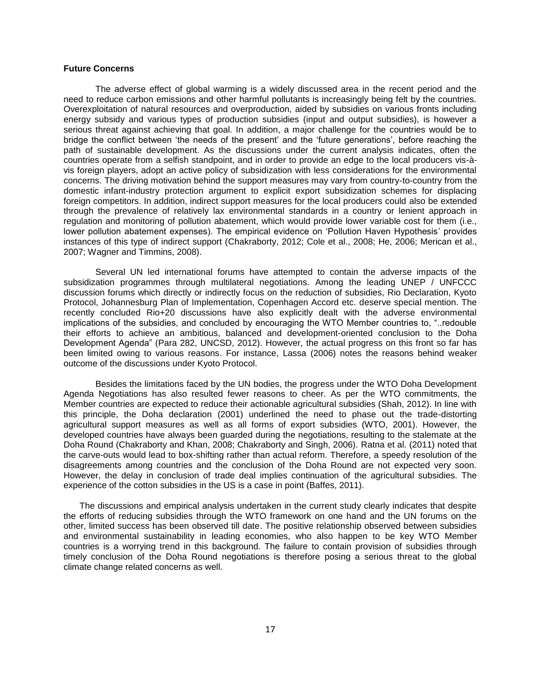#### **Future Concerns**

The adverse effect of global warming is a widely discussed area in the recent period and the need to reduce carbon emissions and other harmful pollutants is increasingly being felt by the countries. Overexploitation of natural resources and overproduction, aided by subsidies on various fronts including energy subsidy and various types of production subsidies (input and output subsidies), is however a serious threat against achieving that goal. In addition, a major challenge for the countries would be to bridge the conflict between 'the needs of the present' and the 'future generations', before reaching the path of sustainable development. As the discussions under the current analysis indicates, often the countries operate from a selfish standpoint, and in order to provide an edge to the local producers vis-àvis foreign players, adopt an active policy of subsidization with less considerations for the environmental concerns. The driving motivation behind the support measures may vary from country-to-country from the domestic infant-industry protection argument to explicit export subsidization schemes for displacing foreign competitors. In addition, indirect support measures for the local producers could also be extended through the prevalence of relatively lax environmental standards in a country or lenient approach in regulation and monitoring of pollution abatement, which would provide lower variable cost for them (i.e., lower pollution abatement expenses). The empirical evidence on 'Pollution Haven Hypothesis' provides instances of this type of indirect support (Chakraborty, 2012; Cole et al., 2008; He, 2006; Merican et al., 2007; Wagner and Timmins, 2008).

Several UN led international forums have attempted to contain the adverse impacts of the subsidization programmes through multilateral negotiations. Among the leading UNEP / UNFCCC discussion forums which directly or indirectly focus on the reduction of subsidies, Rio Declaration, Kyoto Protocol, Johannesburg Plan of Implementation, Copenhagen Accord etc. deserve special mention. The recently concluded Rio+20 discussions have also explicitly dealt with the adverse environmental implications of the subsidies, and concluded by encouraging the WTO Member countries to, "..redouble their efforts to achieve an ambitious, balanced and development-oriented conclusion to the Doha Development Agenda" (Para 282, UNCSD, 2012). However, the actual progress on this front so far has been limited owing to various reasons. For instance, Lassa (2006) notes the reasons behind weaker outcome of the discussions under Kyoto Protocol.

Besides the limitations faced by the UN bodies, the progress under the WTO Doha Development Agenda Negotiations has also resulted fewer reasons to cheer. As per the WTO commitments, the Member countries are expected to reduce their actionable agricultural subsidies (Shah, 2012). In line with this principle, the Doha declaration (2001) underlined the need to phase out the trade-distorting agricultural support measures as well as all forms of export subsidies (WTO, 2001). However, the developed countries have always been guarded during the negotiations, resulting to the stalemate at the Doha Round (Chakraborty and Khan, 2008; Chakraborty and Singh, 2006). Ratna et al. (2011) noted that the carve-outs would lead to box-shifting rather than actual reform. Therefore, a speedy resolution of the disagreements among countries and the conclusion of the Doha Round are not expected very soon. However, the delay in conclusion of trade deal implies continuation of the agricultural subsidies. The experience of the cotton subsidies in the US is a case in point (Baffes, 2011).

The discussions and empirical analysis undertaken in the current study clearly indicates that despite the efforts of reducing subsidies through the WTO framework on one hand and the UN forums on the other, limited success has been observed till date. The positive relationship observed between subsidies and environmental sustainability in leading economies, who also happen to be key WTO Member countries is a worrying trend in this background. The failure to contain provision of subsidies through timely conclusion of the Doha Round negotiations is therefore posing a serious threat to the global climate change related concerns as well.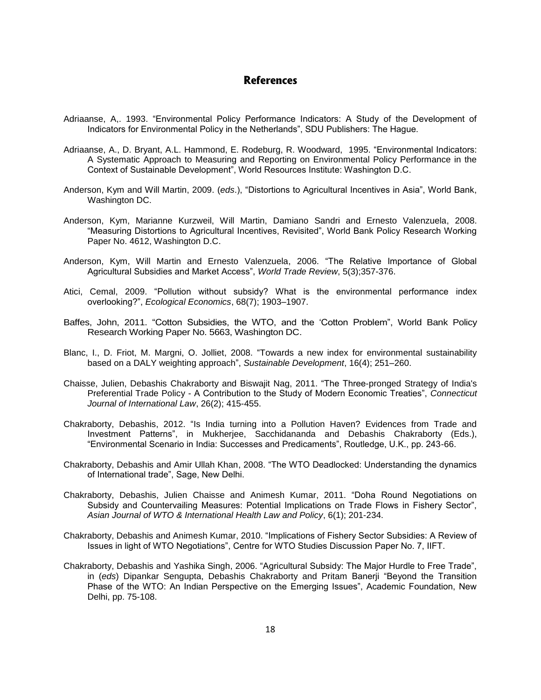## **References**

- Adriaanse, A,. 1993. "Environmental Policy Performance Indicators: A Study of the Development of Indicators for Environmental Policy in the Netherlands", SDU Publishers: The Hague.
- Adriaanse, A., D. Bryant, A.L. Hammond, E. Rodeburg, R. Woodward, 1995. "Environmental Indicators: A Systematic Approach to Measuring and Reporting on Environmental Policy Performance in the Context of Sustainable Development", World Resources Institute: Washington D.C.
- Anderson, Kym and Will Martin, 2009. (*eds*.), "Distortions to Agricultural Incentives in Asia", World Bank, Washington DC.
- Anderson, Kym, Marianne Kurzweil, Will Martin, Damiano Sandri and Ernesto Valenzuela, 2008. "Measuring Distortions to Agricultural Incentives, Revisited", World Bank Policy Research Working Paper No. 4612, Washington D.C.
- Anderson, Kym, Will Martin and Ernesto Valenzuela, 2006. "The Relative Importance of Global Agricultural Subsidies and Market Access", *World Trade Review*, 5(3);357-376.
- Atici, Cemal, 2009. "Pollution without subsidy? What is the environmental performance index overlooking?", *Ecological Economics*, 68(7); 1903–1907.
- Baffes, John, 2011. "Cotton Subsidies, the WTO, and the 'Cotton Problem", World Bank Policy Research Working Paper No. 5663, Washington DC.
- Blanc, I., D. Friot, M. Margni, O. Jolliet, 2008. "Towards a new index for environmental sustainability based on a DALY weighting approach", *Sustainable Development*, 16(4); 251–260.
- Chaisse, Julien, Debashis Chakraborty and Biswajit Nag, 2011. "The Three-pronged Strategy of India's Preferential Trade Policy - A Contribution to the Study of Modern Economic Treaties", *Connecticut Journal of International Law*, 26(2); 415-455.
- Chakraborty, Debashis, 2012. "Is India turning into a Pollution Haven? Evidences from Trade and Investment Patterns", in Mukherjee, Sacchidananda and Debashis Chakraborty (Eds.), "Environmental Scenario in India: Successes and Predicaments", Routledge, U.K., pp. 243-66.
- Chakraborty, Debashis and Amir Ullah Khan, 2008. "The WTO Deadlocked: Understanding the dynamics of International trade", Sage, New Delhi.
- Chakraborty, Debashis, Julien Chaisse and Animesh Kumar, 2011. "Doha Round Negotiations on Subsidy and Countervailing Measures: Potential Implications on Trade Flows in Fishery Sector", *Asian Journal of WTO & International Health Law and Policy*, 6(1); 201-234.
- Chakraborty, Debashis and Animesh Kumar, 2010. "Implications of Fishery Sector Subsidies: A Review of Issues in light of WTO Negotiations", Centre for WTO Studies Discussion Paper No. 7, IIFT.
- Chakraborty, Debashis and Yashika Singh, 2006. "Agricultural Subsidy: The Major Hurdle to Free Trade", in (*eds*) Dipankar Sengupta, Debashis Chakraborty and Pritam Banerji "Beyond the Transition Phase of the WTO: An Indian Perspective on the Emerging Issues", Academic Foundation, New Delhi, pp. 75-108.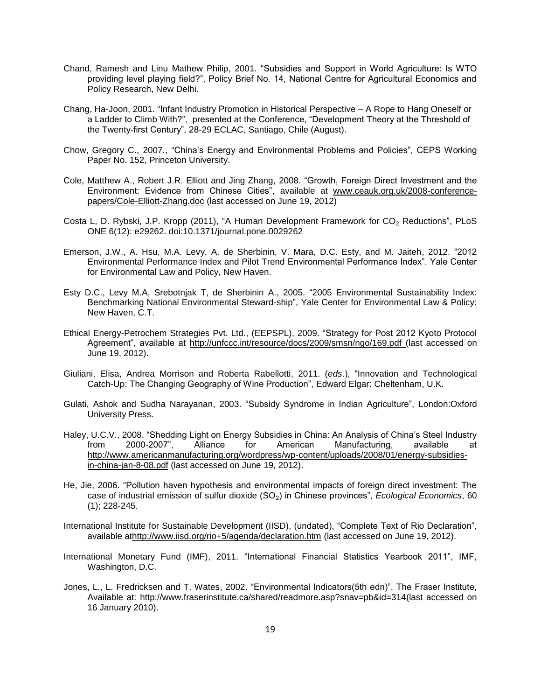- Chand, Ramesh and Linu Mathew Philip, 2001. "Subsidies and Support in World Agriculture: Is WTO providing level playing field?", Policy Brief No. 14, National Centre for Agricultural Economics and Policy Research, New Delhi.
- Chang, Ha-Joon, 2001. "Infant Industry Promotion in Historical Perspective A Rope to Hang Oneself or a Ladder to Climb With?", presented at the Conference, "Development Theory at the Threshold of the Twenty-first Century", 28-29 ECLAC, Santiago, Chile (August).
- Chow, Gregory C., 2007., "China's Energy and Environmental Problems and Policies", CEPS Working Paper No. 152, Princeton University.
- Cole, Matthew A., Robert J.R. Elliott and Jing Zhang, 2008. "Growth, Foreign Direct Investment and the Environment: Evidence from Chinese Cities", available at [www.ceauk.org.uk/2008-conference](http://www.ceauk.org.uk/2008-conference-papers/Cole-Elliott-Zhang.doc)[papers/Cole-Elliott-Zhang.doc](http://www.ceauk.org.uk/2008-conference-papers/Cole-Elliott-Zhang.doc) (last accessed on June 19, 2012)
- Costa L, D. Rybski, J.P. Kropp (2011), "A Human Development Framework for  $CO<sub>2</sub>$  Reductions", PLoS ONE 6(12): e29262. doi:10.1371/journal.pone.0029262
- Emerson, J.W., A. Hsu, M.A. Levy, A. de Sherbinin, V. Mara, D.C. Esty, and M. Jaiteh, 2012. "2012 Environmental Performance Index and Pilot Trend Environmental Performance Index". Yale Center for Environmental Law and Policy, New Haven.
- Esty D.C., Levy M.A, Srebotnjak T, de Sherbinin A., 2005. "2005 Environmental Sustainability Index: Benchmarking National Environmental Steward-ship", Yale Center for Environmental Law & Policy: New Haven, C.T.
- Ethical Energy-Petrochem Strategies Pvt. Ltd., (EEPSPL), 2009. "Strategy for Post 2012 Kyoto Protocol Agreement", available at<http://unfccc.int/resource/docs/2009/smsn/ngo/169.pdf> (last accessed on June 19, 2012).
- Giuliani, Elisa, Andrea Morrison and Roberta Rabellotti, 2011. (*eds*.), "Innovation and Technological Catch-Up: The Changing Geography of Wine Production", Edward Elgar: Cheltenham, U.K.
- Gulati, Ashok and Sudha Narayanan, 2003. "Subsidy Syndrome in Indian Agriculture", London:Oxford University Press.
- Haley, U.C.V., 2008. "Shedding Light on Energy Subsidies in China: An Analysis of China's Steel Industry from 2000-2007", Alliance for American Manufacturing, available at [http://www.americanmanufacturing.org/wordpress/wp-content/uploads/2008/01/energy-subsidies](http://www.americanmanufacturing.org/wordpress/wp-content/uploads/2008/01/energy-subsidies-in-china-jan-8-08.pdf)[in-china-jan-8-08.pdf](http://www.americanmanufacturing.org/wordpress/wp-content/uploads/2008/01/energy-subsidies-in-china-jan-8-08.pdf) (last accessed on June 19, 2012).
- He, Jie, 2006. "Pollution haven hypothesis and environmental impacts of foreign direct investment: The case of industrial emission of sulfur dioxide (SO2) in Chinese provinces", *Ecological Economics*, 60 (1); 228-245.
- International Institute for Sustainable Development (IISD), (undated), "Complete Text of Rio Declaration", available a[thttp://www.iisd.org/rio+5/agenda/declaration.htm](http://www.iisd.org/rio+5/agenda/declaration.htm) (last accessed on June 19, 2012).
- International Monetary Fund (IMF), 2011. "International Financial Statistics Yearbook 2011", IMF, Washington, D.C.
- Jones, L., L. Fredricksen and T. Wates, 2002. "Environmental Indicators(5th edn)", The Fraser Institute, Available at: http://www.fraserinstitute.ca/shared/readmore.asp?snav=pb&id=314(last accessed on 16 January 2010).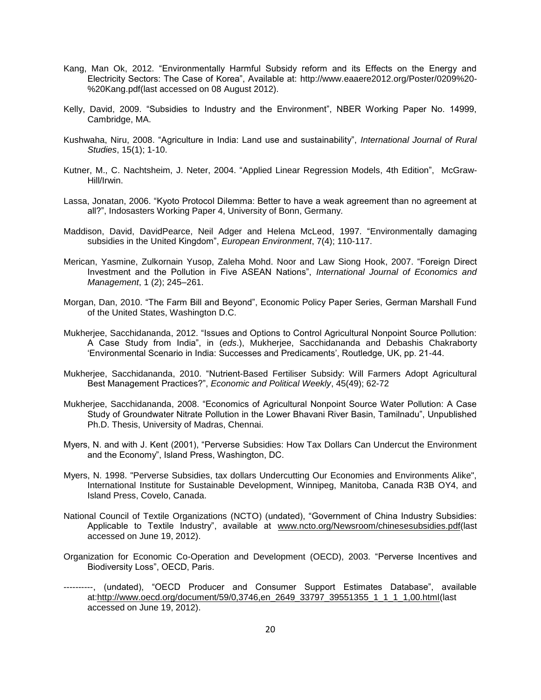- Kang, Man Ok, 2012. "Environmentally Harmful Subsidy reform and its Effects on the Energy and Electricity Sectors: The Case of Korea", Available at: http://www.eaaere2012.org/Poster/0209%20- %20Kang.pdf(last accessed on 08 August 2012).
- Kelly, David, 2009. "Subsidies to Industry and the Environment", NBER Working Paper No. 14999, Cambridge, MA.
- Kushwaha, Niru, 2008. "Agriculture in India: Land use and sustainability", *International Journal of Rural Studies*, 15(1); 1-10.
- Kutner, M., C. Nachtsheim, J. Neter, 2004. "Applied Linear Regression Models, 4th Edition", McGraw-Hill/Irwin.
- Lassa, Jonatan, 2006. "Kyoto Protocol Dilemma: Better to have a weak agreement than no agreement at all?", Indosasters Working Paper 4, University of Bonn, Germany.
- Maddison, David, DavidPearce, Neil Adger and Helena McLeod, 1997. "Environmentally damaging subsidies in the United Kingdom", *European Environment*, 7(4); 110-117.
- Merican, Yasmine, Zulkornain Yusop, Zaleha Mohd. Noor and Law Siong Hook, 2007. "Foreign Direct Investment and the Pollution in Five ASEAN Nations", *International Journal of Economics and Management*, 1 (2); 245–261.
- Morgan, Dan, 2010. "The Farm Bill and Beyond", Economic Policy Paper Series, German Marshall Fund of the United States, Washington D.C.
- Mukherjee, Sacchidananda, 2012. "Issues and Options to Control Agricultural Nonpoint Source Pollution: A Case Study from India", in (*eds*.), Mukherjee, Sacchidananda and Debashis Chakraborty 'Environmental Scenario in India: Successes and Predicaments', Routledge, UK, pp. 21-44.
- Mukherjee, Sacchidananda, 2010. "Nutrient-Based Fertiliser Subsidy: Will Farmers Adopt Agricultural Best Management Practices?", *Economic and Political Weekly*, 45(49); 62-72
- Mukherjee, Sacchidananda, 2008. "Economics of Agricultural Nonpoint Source Water Pollution: A Case Study of Groundwater Nitrate Pollution in the Lower Bhavani River Basin, Tamilnadu", Unpublished Ph.D. Thesis, University of Madras, Chennai.
- Myers, N. and with J. Kent (2001), "Perverse Subsidies: How Tax Dollars Can Undercut the Environment and the Economy", Island Press, Washington, DC.
- Myers, N. 1998. "Perverse Subsidies, tax dollars Undercutting Our Economies and Environments Alike", International Institute for Sustainable Development, Winnipeg, Manitoba, Canada R3B OY4, and Island Press, Covelo, Canada.
- National Council of Textile Organizations (NCTO) (undated), "Government of China Industry Subsidies: Applicable to Textile Industry", available at [www.ncto.org/Newsroom/chinesesubsidies.pdf\(](http://www.ncto.org/Newsroom/chinesesubsidies.pdf)last accessed on June 19, 2012).
- Organization for Economic Co-Operation and Development (OECD), 2003. "Perverse Incentives and Biodiversity Loss", OECD, Paris.
- ----------, (undated), "OECD Producer and Consumer Support Estimates Database", available at[:http://www.oecd.org/document/59/0,3746,en\\_2649\\_33797\\_39551355\\_1\\_1\\_1\\_1,00.html\(](http://www.oecd.org/document/59/0,3746,en_2649_33797_39551355_1_1_1_1,00.html)last accessed on June 19, 2012).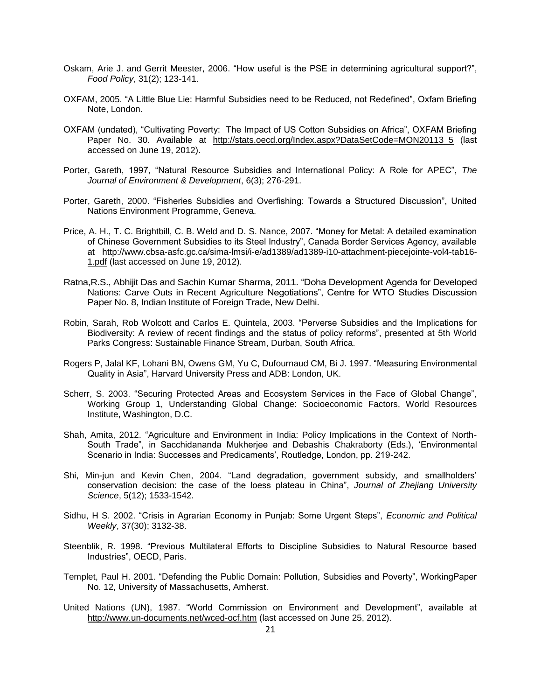- Oskam, Arie J. and Gerrit Meester, 2006. "How useful is the PSE in determining agricultural support?", *Food Policy*, 31(2); 123-141.
- OXFAM, 2005. "A Little Blue Lie: Harmful Subsidies need to be Reduced, not Redefined", Oxfam Briefing Note, London.
- OXFAM (undated), "Cultivating Poverty: The Impact of US Cotton Subsidies on Africa", OXFAM Briefing Paper No. 30. Available at [http://stats.oecd.org/Index.aspx?DataSetCode=MON20113\\_5](http://stats.oecd.org/Index.aspx?DataSetCode=MON20113_5) (last accessed on June 19, 2012).
- Porter, Gareth, 1997, "Natural Resource Subsidies and International Policy: A Role for APEC", *The Journal of Environment & Development*, 6(3); 276-291.
- Porter, Gareth, 2000. "Fisheries Subsidies and Overfishing: Towards a Structured Discussion", United Nations Environment Programme, Geneva.
- Price, A. H., T. C. Brightbill, C. B. Weld and D. S. Nance, 2007. "Money for Metal: A detailed examination of Chinese Government Subsidies to its Steel Industry", Canada Border Services Agency, available at [http://www.cbsa-asfc.gc.ca/sima-lmsi/i-e/ad1389/ad1389-i10-attachment-piecejointe-vol4-tab16-](http://www.cbsa-asfc.gc.ca/sima-lmsi/i-e/ad1389/ad1389-i10-attachment-piecejointe-vol4-tab16-1.pdf) [1.pdf](http://www.cbsa-asfc.gc.ca/sima-lmsi/i-e/ad1389/ad1389-i10-attachment-piecejointe-vol4-tab16-1.pdf) (last accessed on June 19, 2012).
- Ratna,R.S., Abhijit Das and Sachin Kumar Sharma, 2011. "Doha Development Agenda for Developed Nations: Carve Outs in Recent Agriculture Negotiations", Centre for WTO Studies Discussion Paper No. 8, Indian Institute of Foreign Trade, New Delhi.
- Robin, Sarah, Rob Wolcott and Carlos E. Quintela, 2003. "Perverse Subsidies and the Implications for Biodiversity: A review of recent findings and the status of policy reforms", presented at 5th World Parks Congress: Sustainable Finance Stream, Durban, South Africa.
- Rogers P, Jalal KF, Lohani BN, Owens GM, Yu C, Dufournaud CM, Bi J. 1997. "Measuring Environmental Quality in Asia", Harvard University Press and ADB: London, UK.
- Scherr, S. 2003. "Securing Protected Areas and Ecosystem Services in the Face of Global Change", Working Group 1, Understanding Global Change: Socioeconomic Factors, World Resources Institute, Washington, D.C.
- Shah, Amita, 2012. "Agriculture and Environment in India: Policy Implications in the Context of North-South Trade", in Sacchidananda Mukherjee and Debashis Chakraborty (Eds.), 'Environmental Scenario in India: Successes and Predicaments', Routledge, London, pp. 219-242.
- Shi, Min-jun and Kevin Chen, 2004. "Land degradation, government subsidy, and smallholders' conservation decision: the case of the loess plateau in China", *Journal of Zhejiang University Science*, 5(12); 1533-1542.
- Sidhu, H S. 2002. "Crisis in Agrarian Economy in Punjab: Some Urgent Steps", *Economic and Political Weekly*, 37(30); 3132-38.
- Steenblik, R. 1998. "Previous Multilateral Efforts to Discipline Subsidies to Natural Resource based Industries", OECD, Paris.
- Templet, Paul H. 2001. "Defending the Public Domain: Pollution, Subsidies and Poverty", WorkingPaper No. 12, University of Massachusetts, Amherst.
- United Nations (UN), 1987. "World Commission on Environment and Development", available at <http://www.un-documents.net/wced-ocf.htm> (last accessed on June 25, 2012).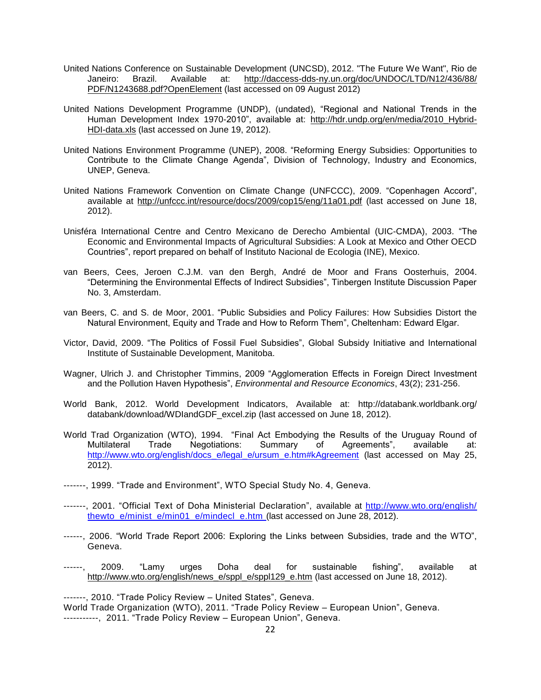- United Nations Conference on Sustainable Development (UNCSD), 2012. "The Future We Want", Rio de Janeiro: Brazil. Available at: http://daccess-dds-ny.un.org/doc/UNDOC/LTD/N12/436/88/ PDF/N1243688.pdf?OpenElement (last accessed on 09 August 2012)
- United Nations Development Programme (UNDP), (undated), "Regional and National Trends in the Human Development Index 1970-2010", available at: [http://hdr.undp.org/en/media/2010\\_Hybrid-](http://hdr.undp.org/en/media/2010_Hybrid-HDI-data.xls)[HDI-data.xls](http://hdr.undp.org/en/media/2010_Hybrid-HDI-data.xls) (last accessed on June 19, 2012).
- United Nations Environment Programme (UNEP), 2008. "Reforming Energy Subsidies: Opportunities to Contribute to the Climate Change Agenda", Division of Technology, Industry and Economics, UNEP, Geneva.
- United Nations Framework Convention on Climate Change (UNFCCC), 2009. "Copenhagen Accord", available at<http://unfccc.int/resource/docs/2009/cop15/eng/11a01.pdf> (last accessed on June 18, 2012).
- Unisféra International Centre and Centro Mexicano de Derecho Ambiental (UIC-CMDA), 2003. "The Economic and Environmental Impacts of Agricultural Subsidies: A Look at Mexico and Other OECD Countries", report prepared on behalf of Instituto Nacional de Ecologia (INE), Mexico.
- van Beers, Cees, Jeroen C.J.M. van den Bergh, André de Moor and Frans Oosterhuis, 2004. "Determining the Environmental Effects of Indirect Subsidies", Tinbergen Institute Discussion Paper No. 3, Amsterdam.
- van Beers, C. and S. de Moor, 2001. "Public Subsidies and Policy Failures: How Subsidies Distort the Natural Environment, Equity and Trade and How to Reform Them", Cheltenham: Edward Elgar.
- Victor, David, 2009. "The Politics of Fossil Fuel Subsidies", Global Subsidy Initiative and International Institute of Sustainable Development, Manitoba.
- Wagner, Ulrich J. and Christopher Timmins, 2009 "Agglomeration Effects in Foreign Direct Investment and the Pollution Haven Hypothesis", *Environmental and Resource Economics*, 43(2); 231-256.
- World Bank, 2012. World Development Indicators, Available at: http://databank.worldbank.org/ databank/download/WDIandGDF\_excel.zip (last accessed on June 18, 2012).
- World Trad Organization (WTO), 1994. "Final Act Embodying the Results of the Uruguay Round of Multilateral Trade Negotiations: Summary of Agreements", available at: [http://www.wto.org/english/docs\\_e/legal\\_e/ursum\\_e.htm#kAgreement](http://www.wto.org/english/docs_e/legal_e/ursum_e.htm#kAgreement) (last accessed on May 25, 2012).
- -------, 1999. "Trade and Environment", WTO Special Study No. 4, Geneva.
- -------, 2001. "Official Text of Doha Ministerial Declaration", available at [http://www.wto.org/english/](http://www.wto.org/english/%20thewto_e/minist_e/min01_e/mindecl_e.htm)  thewto e/minist e/min01 e/mindecl\_e.htm (last accessed on June 28, 2012).
- ------, 2006. "World Trade Report 2006: Exploring the Links between Subsidies, trade and the WTO", Geneva.
- ------, 2009. "Lamy urges Doha deal for sustainable fishing", available at [http://www.wto.org/english/news\\_e/sppl\\_e/sppl129\\_e.htm](http://www.wto.org/english/news_e/sppl_e/sppl129_e.htm) (last accessed on June 18, 2012).

-------, 2010. "Trade Policy Review – United States", Geneva.

World Trade Organization (WTO), 2011. "Trade Policy Review – European Union", Geneva. -----------, 2011. "Trade Policy Review – European Union", Geneva.